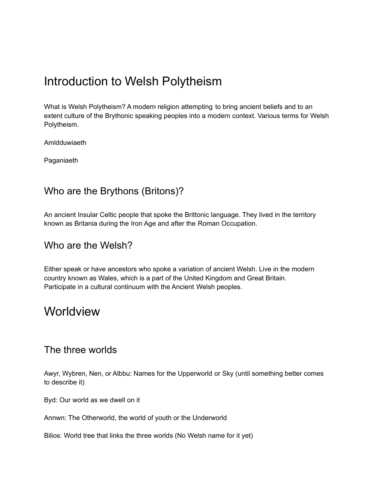# Introduction to Welsh Polytheism

What is Welsh Polytheism? A modern religion attempting to bring ancient beliefs and to an extent culture of the Brythonic speaking peoples into a modern context. Various terms for Welsh Polytheism.

Amldduwiaeth

Paganiaeth

### Who are the Brythons (Britons)?

An ancient Insular Celtic people that spoke the Brittonic language. They lived in the territory known as Britania during the Iron Age and after the Roman Occupation.

#### Who are the Welsh?

Either speak or have ancestors who spoke a variation of ancient Welsh. Live in the modern country known as Wales, which is a part of the United Kingdom and Great Britain. Participate in a cultural continuum with the Ancient Welsh peoples.

## **Worldview**

#### The three worlds

Awyr, Wybren, Nen, or Albbu: Names for the Upperworld or Sky (until something better comes to describe it)

Byd: Our world as we dwell on it

Annwn: The Otherworld, the world of youth or the Underworld

Bilios: World tree that links the three worlds (No Welsh name for it yet)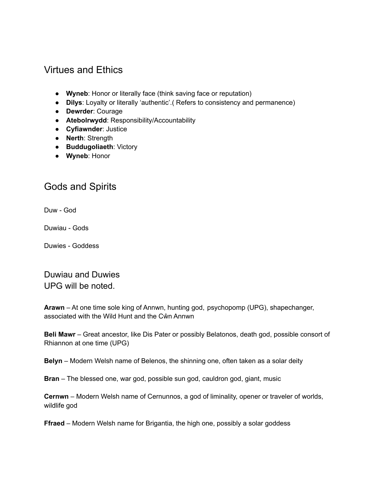## Virtues and Ethics

- **Wyneb**: Honor or literally face (think saving face or reputation)
- **Dilys**: Loyalty or literally 'authentic'.( Refers to consistency and permanence)
- **Dewrder**: Courage
- **Atebolrwydd**: Responsibility/Accountability
- **Cyfiawnder**: Justice
- **Nerth**: Strength
- **Buddugoliaeth**: Victory
- **Wyneb**: Honor

## Gods and Spirits

Duw - God

Duwiau - Gods

Duwies - Goddess

Duwiau and Duwies UPG will be noted.

**Arawn** – At one time sole king of Annwn, hunting god, psychopomp (UPG), shapechanger, associated with the Wild Hunt and the Cŵn Annwn

**Beli Mawr** – Great ancestor, like Dis Pater or possibly Belatonos, death god, possible consort of Rhiannon at one time (UPG)

**Belyn** – Modern Welsh name of Belenos, the shinning one, often taken as a solar deity

**Bran** – The blessed one, war god, possible sun god, cauldron god, giant, music

**Cernwn** – Modern Welsh name of Cernunnos, a god of liminality, opener or traveler of worlds, wildlife god

**Ffraed** – Modern Welsh name for Brigantia, the high one, possibly a solar goddess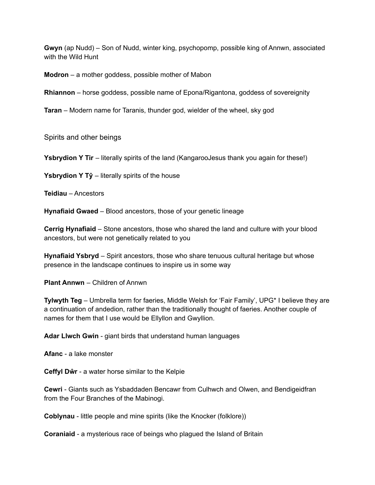**Gwyn** (ap Nudd) – Son of Nudd, winter king, psychopomp, possible king of Annwn, associated with the Wild Hunt

**Modron** – a mother goddess, possible mother of Mabon

**Rhiannon** – horse goddess, possible name of Epona/Rigantona, goddess of sovereignity

**Taran** – Modern name for Taranis, thunder god, wielder of the wheel, sky god

Spirits and other beings

**Ysbrydion Y Tir** – literally spirits of the land (KangarooJesus thank you again for these!)

**Ysbrydion Y Tŷ** – literally spirits of the house

**Teidiau** – Ancestors

**Hynafiaid Gwaed** – Blood ancestors, those of your genetic lineage

**Cerrig Hynafiaid** – Stone ancestors, those who shared the land and culture with your blood ancestors, but were not genetically related to you

**Hynafiaid Ysbryd** – Spirit ancestors, those who share tenuous cultural heritage but whose presence in the landscape continues to inspire us in some way

**Plant Annwn** – Children of Annwn

**Tylwyth Teg** – Umbrella term for faeries, Middle Welsh for 'Fair Family', UPG\* I believe they are a continuation of andedion, rather than the traditionally thought of faeries. Another couple of names for them that I use would be Ellyllon and Gwyllion.

**Adar Llwch Gwin** - giant birds that understand human languages

**Afanc** - a lake monster

**Ceffyl Dŵr** - a water horse similar to the Kelpie

**Cewri** - Giants such as Ysbaddaden Bencawr from Culhwch and Olwen, and Bendigeidfran from the Four Branches of the Mabinogi.

**Coblynau** - little people and mine spirits (like the Knocker (folklore))

**Coraniaid** - a mysterious race of beings who plagued the Island of Britain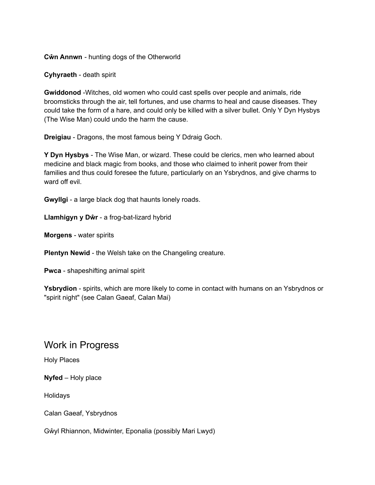**Cŵn Annwn** - hunting dogs of the Otherworld

**Cyhyraeth** - death spirit

**Gwiddonod** -Witches, old women who could cast spells over people and animals, ride broomsticks through the air, tell fortunes, and use charms to heal and cause diseases. They could take the form of a hare, and could only be killed with a silver bullet. Only Y Dyn Hysbys (The Wise Man) could undo the harm the cause.

**Dreigiau** - Dragons, the most famous being Y Ddraig Goch.

**Y Dyn Hysbys** - The Wise Man, or wizard. These could be clerics, men who learned about medicine and black magic from books, and those who claimed to inherit power from their families and thus could foresee the future, particularly on an Ysbrydnos, and give charms to ward off evil.

**Gwyllgi** - a large black dog that haunts lonely roads.

**Llamhigyn y Dŵr** - a frog-bat-lizard hybrid

**Morgens** - water spirits

**Plentyn Newid** - the Welsh take on the Changeling creature.

**Pwca** - shapeshifting animal spirit

**Ysbrydion** - spirits, which are more likely to come in contact with humans on an Ysbrydnos or "spirit night" (see Calan Gaeaf, Calan Mai)

#### Work in Progress

Holy Places

**Nyfed** – Holy place

Holidays

Calan Gaeaf, Ysbrydnos

Gŵyl Rhiannon, Midwinter, Eponalia (possibly Mari Lwyd)